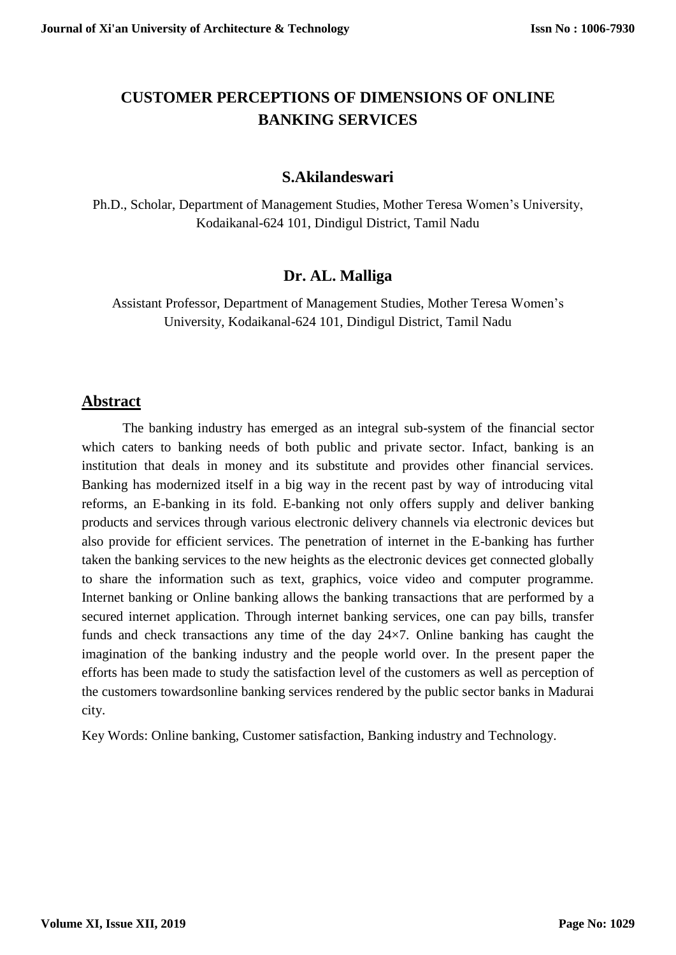# **CUSTOMER PERCEPTIONS OF DIMENSIONS OF ONLINE BANKING SERVICES**

## **S.Akilandeswari**

Ph.D., Scholar, Department of Management Studies, Mother Teresa Women's University, Kodaikanal-624 101, Dindigul District, Tamil Nadu

## **Dr. AL. Malliga**

Assistant Professor, Department of Management Studies, Mother Teresa Women's University, Kodaikanal-624 101, Dindigul District, Tamil Nadu

## **Abstract**

The banking industry has emerged as an integral sub-system of the financial sector which caters to banking needs of both public and private sector. Infact, banking is an institution that deals in money and its substitute and provides other financial services. Banking has modernized itself in a big way in the recent past by way of introducing vital reforms, an E-banking in its fold. E-banking not only offers supply and deliver banking products and services through various electronic delivery channels via electronic devices but also provide for efficient services. The penetration of internet in the E-banking has further taken the banking services to the new heights as the electronic devices get connected globally to share the information such as text, graphics, voice video and computer programme. Internet banking or Online banking allows the banking transactions that are performed by a secured internet application. Through internet banking services, one can pay bills, transfer funds and check transactions any time of the day 24×7. Online banking has caught the imagination of the banking industry and the people world over. In the present paper the efforts has been made to study the satisfaction level of the customers as well as perception of the customers towardsonline banking services rendered by the public sector banks in Madurai city.

Key Words: Online banking, Customer satisfaction, Banking industry and Technology.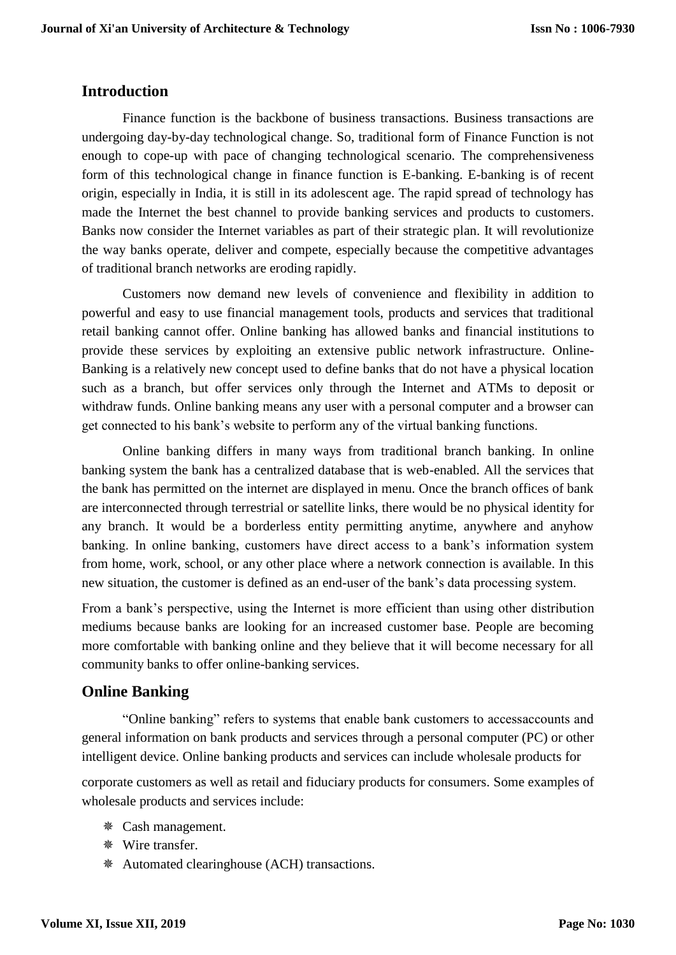## **Introduction**

Finance function is the backbone of business transactions. Business transactions are undergoing day-by-day technological change. So, traditional form of Finance Function is not enough to cope-up with pace of changing technological scenario. The comprehensiveness form of this technological change in finance function is E-banking. E-banking is of recent origin, especially in India, it is still in its adolescent age. The rapid spread of technology has made the Internet the best channel to provide banking services and products to customers. Banks now consider the Internet variables as part of their strategic plan. It will revolutionize the way banks operate, deliver and compete, especially because the competitive advantages of traditional branch networks are eroding rapidly.

Customers now demand new levels of convenience and flexibility in addition to powerful and easy to use financial management tools, products and services that traditional retail banking cannot offer. Online banking has allowed banks and financial institutions to provide these services by exploiting an extensive public network infrastructure. Online-Banking is a relatively new concept used to define banks that do not have a physical location such as a branch, but offer services only through the Internet and ATMs to deposit or withdraw funds. Online banking means any user with a personal computer and a browser can get connected to his bank's website to perform any of the virtual banking functions.

Online banking differs in many ways from traditional branch banking. In online banking system the bank has a centralized database that is web-enabled. All the services that the bank has permitted on the internet are displayed in menu. Once the branch offices of bank are interconnected through terrestrial or satellite links, there would be no physical identity for any branch. It would be a borderless entity permitting anytime, anywhere and anyhow banking. In online banking, customers have direct access to a bank's information system from home, work, school, or any other place where a network connection is available. In this new situation, the customer is defined as an end-user of the bank's data processing system.

From a bank's perspective, using the Internet is more efficient than using other distribution mediums because banks are looking for an increased customer base. People are becoming more comfortable with banking online and they believe that it will become necessary for all community banks to offer online-banking services.

## **Online Banking**

"Online banking" refers to systems that enable bank customers to accessaccounts and general information on bank products and services through a personal computer (PC) or other intelligent device. Online banking products and services can include wholesale products for

corporate customers as well as retail and fiduciary products for consumers. Some examples of wholesale products and services include:

- Cash management.
- Wire transfer.
- Automated clearinghouse (ACH) transactions.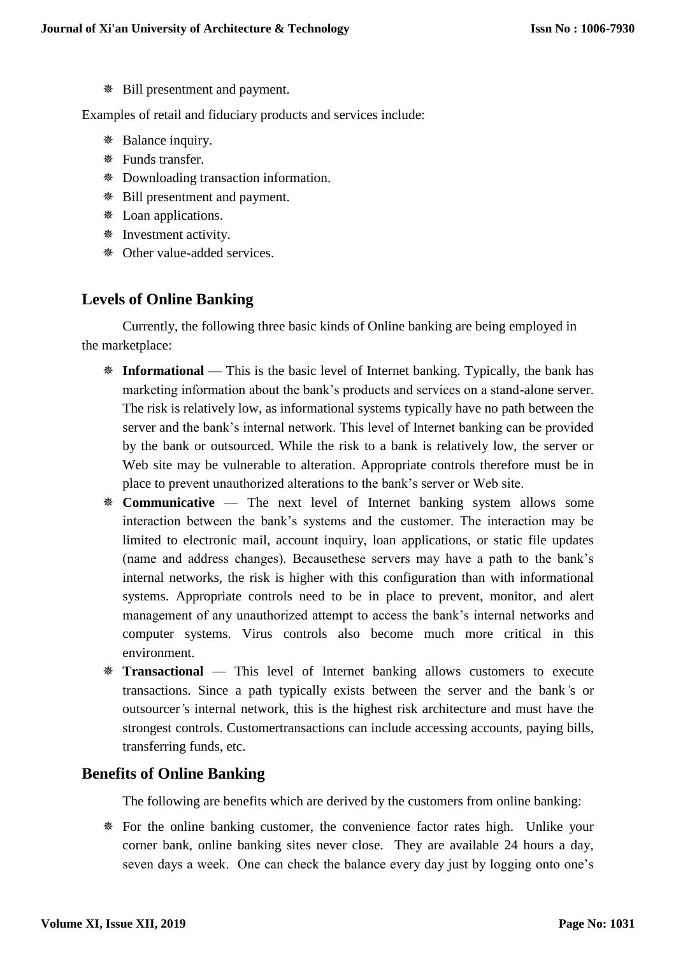Bill presentment and payment.

Examples of retail and fiduciary products and services include:

- Balance inquiry.
- Funds transfer.
- Downloading transaction information.
- Bill presentment and payment.
- Loan applications.
- Investment activity.
- Other value-added services.

## **Levels of Online Banking**

Currently, the following three basic kinds of Online banking are being employed in the marketplace:

- **Informational** This is the basic level of Internet banking. Typically, the bank has marketing information about the bank's products and services on a stand-alone server. The risk is relatively low, as informational systems typically have no path between the server and the bank's internal network. This level of Internet banking can be provided by the bank or outsourced. While the risk to a bank is relatively low, the server or Web site may be vulnerable to alteration. Appropriate controls therefore must be in place to prevent unauthorized alterations to the bank's server or Web site.
- **Communicative**  The next level of Internet banking system allows some interaction between the bank's systems and the customer. The interaction may be limited to electronic mail, account inquiry, loan applications, or static file updates (name and address changes). Becausethese servers may have a path to the bank's internal networks, the risk is higher with this configuration than with informational systems. Appropriate controls need to be in place to prevent, monitor, and alert management of any unauthorized attempt to access the bank's internal networks and computer systems. Virus controls also become much more critical in this environment.
- **Transactional** This level of Internet banking allows customers to execute transactions. Since a path typically exists between the server and the bank*'*s or outsourcer*'*s internal network, this is the highest risk architecture and must have the strongest controls. Customertransactions can include accessing accounts, paying bills, transferring funds, etc.

## **Benefits of Online Banking**

The following are benefits which are derived by the customers from online banking:

 For the online banking customer, the convenience factor rates high. Unlike your corner bank, online banking sites never close. They are available 24 hours a day, seven days a week. One can check the balance every day just by logging onto one's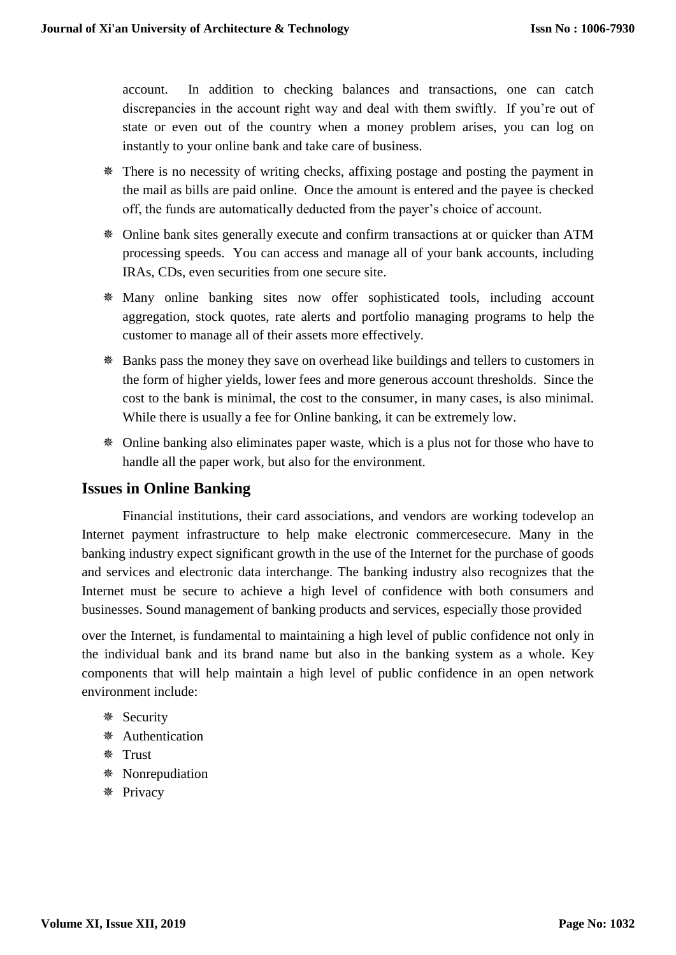account. In addition to checking balances and transactions, one can catch discrepancies in the account right way and deal with them swiftly. If you're out of state or even out of the country when a money problem arises, you can log on instantly to your online bank and take care of business.

- There is no necessity of writing checks, affixing postage and posting the payment in the mail as bills are paid online. Once the amount is entered and the payee is checked off, the funds are automatically deducted from the payer's choice of account.
- Online bank sites generally execute and confirm transactions at or quicker than ATM processing speeds. You can access and manage all of your bank accounts, including IRAs, CDs, even securities from one secure site.
- Many online banking sites now offer sophisticated tools, including account aggregation, stock quotes, rate alerts and portfolio managing programs to help the customer to manage all of their assets more effectively.
- Banks pass the money they save on overhead like buildings and tellers to customers in the form of higher yields, lower fees and more generous account thresholds. Since the cost to the bank is minimal, the cost to the consumer, in many cases, is also minimal. While there is usually a fee for Online banking, it can be extremely low.
- Online banking also eliminates paper waste, which is a plus not for those who have to handle all the paper work, but also for the environment.

## **Issues in Online Banking**

Financial institutions, their card associations, and vendors are working todevelop an Internet payment infrastructure to help make electronic commercesecure. Many in the banking industry expect significant growth in the use of the Internet for the purchase of goods and services and electronic data interchange. The banking industry also recognizes that the Internet must be secure to achieve a high level of confidence with both consumers and businesses. Sound management of banking products and services, especially those provided

over the Internet, is fundamental to maintaining a high level of public confidence not only in the individual bank and its brand name but also in the banking system as a whole. Key components that will help maintain a high level of public confidence in an open network environment include:

- Security
- Authentication
- **※ Trust**
- Nonrepudiation
- **※ Privacy**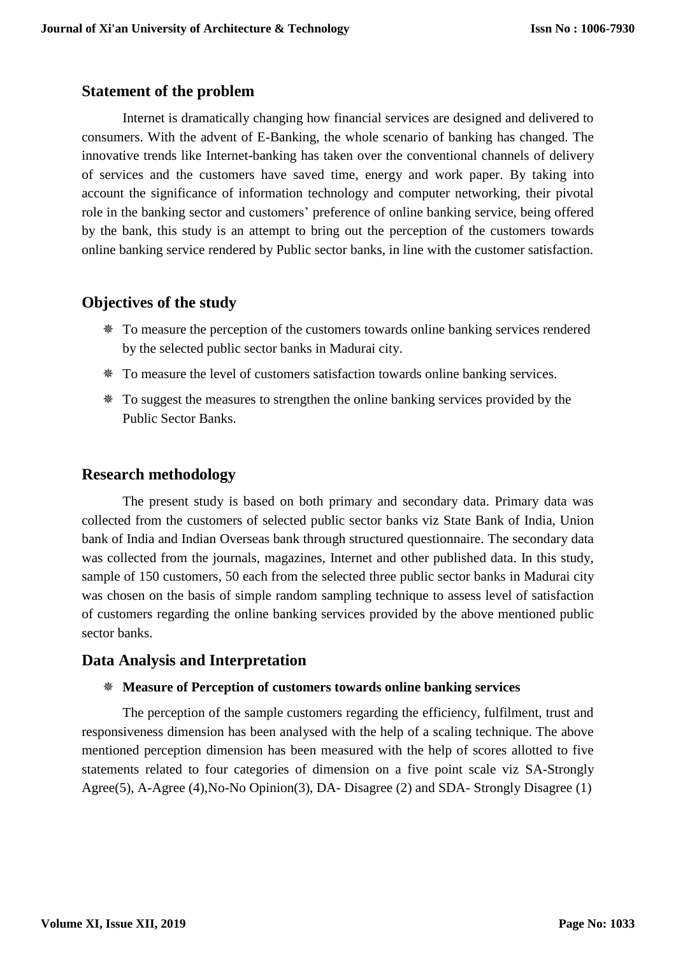## **Statement of the problem**

Internet is dramatically changing how financial services are designed and delivered to consumers. With the advent of E-Banking, the whole scenario of banking has changed. The innovative trends like Internet-banking has taken over the conventional channels of delivery of services and the customers have saved time, energy and work paper. By taking into account the significance of information technology and computer networking, their pivotal role in the banking sector and customers' preference of online banking service, being offered by the bank, this study is an attempt to bring out the perception of the customers towards online banking service rendered by Public sector banks, in line with the customer satisfaction.

## **Objectives of the study**

- To measure the perception of the customers towards online banking services rendered by the selected public sector banks in Madurai city.
- To measure the level of customers satisfaction towards online banking services.
- To suggest the measures to strengthen the online banking services provided by the Public Sector Banks.

## **Research methodology**

The present study is based on both primary and secondary data. Primary data was collected from the customers of selected public sector banks viz State Bank of India, Union bank of India and Indian Overseas bank through structured questionnaire. The secondary data was collected from the journals, magazines, Internet and other published data. In this study, sample of 150 customers, 50 each from the selected three public sector banks in Madurai city was chosen on the basis of simple random sampling technique to assess level of satisfaction of customers regarding the online banking services provided by the above mentioned public sector banks.

## **Data Analysis and Interpretation**

### **Measure of Perception of customers towards online banking services**

The perception of the sample customers regarding the efficiency, fulfilment, trust and responsiveness dimension has been analysed with the help of a scaling technique. The above mentioned perception dimension has been measured with the help of scores allotted to five statements related to four categories of dimension on a five point scale viz SA-Strongly Agree(5), A-Agree (4),No-No Opinion(3), DA- Disagree (2) and SDA- Strongly Disagree (1)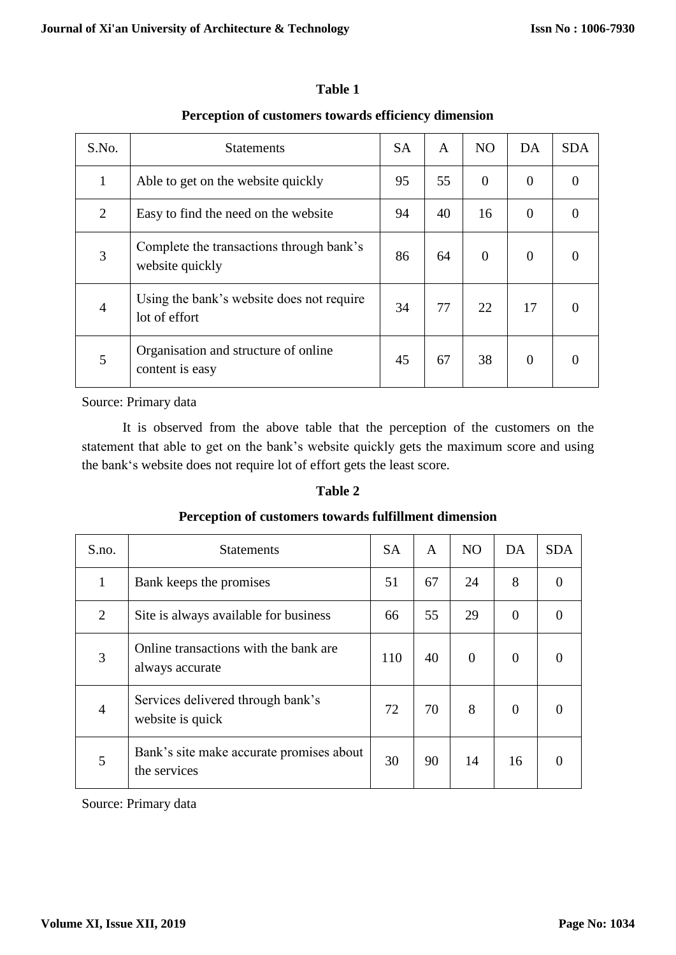| S.No.          | <b>Statements</b>                                           | <b>SA</b> | A  | N <sub>O</sub> | DA       | <b>SDA</b> |
|----------------|-------------------------------------------------------------|-----------|----|----------------|----------|------------|
| 1              | Able to get on the website quickly                          | 95        | 55 | $\overline{0}$ | $\theta$ |            |
| 2              | Easy to find the need on the website                        | 94        | 40 | 16             | $\Omega$ |            |
| 3              | Complete the transactions through bank's<br>website quickly | 86        | 64 | $\theta$       | $\Omega$ |            |
| $\overline{4}$ | Using the bank's website does not require<br>lot of effort  | 34        | 77 | 22             | 17       | 0          |
| 5              | Organisation and structure of online<br>content is easy     | 45        | 67 | 38             | $\Omega$ |            |

## **Table 1**

## **Perception of customers towards efficiency dimension**

Source: Primary data

It is observed from the above table that the perception of the customers on the statement that able to get on the bank's website quickly gets the maximum score and using the bank's website does not require lot of effort gets the least score.

## **Table 2**

### **Perception of customers towards fulfillment dimension**

| S.no.          | <b>Statements</b>                                         | <b>SA</b> | A  | N <sub>O</sub> | DA             | <b>SDA</b> |
|----------------|-----------------------------------------------------------|-----------|----|----------------|----------------|------------|
| 1              | Bank keeps the promises                                   | 51        | 67 | 24             | 8              |            |
| $\overline{2}$ | Site is always available for business                     | 66        | 55 | 29             | $\overline{0}$ | 0          |
| 3              | Online transactions with the bank are.<br>always accurate | 110       | 40 | $\overline{0}$ | $\theta$       |            |
| 4              | Services delivered through bank's<br>website is quick     | 72        | 70 | 8              | $\theta$       | $\Omega$   |
| 5              | Bank's site make accurate promises about<br>the services  | 30        | 90 | 14             | 16             |            |

Source: Primary data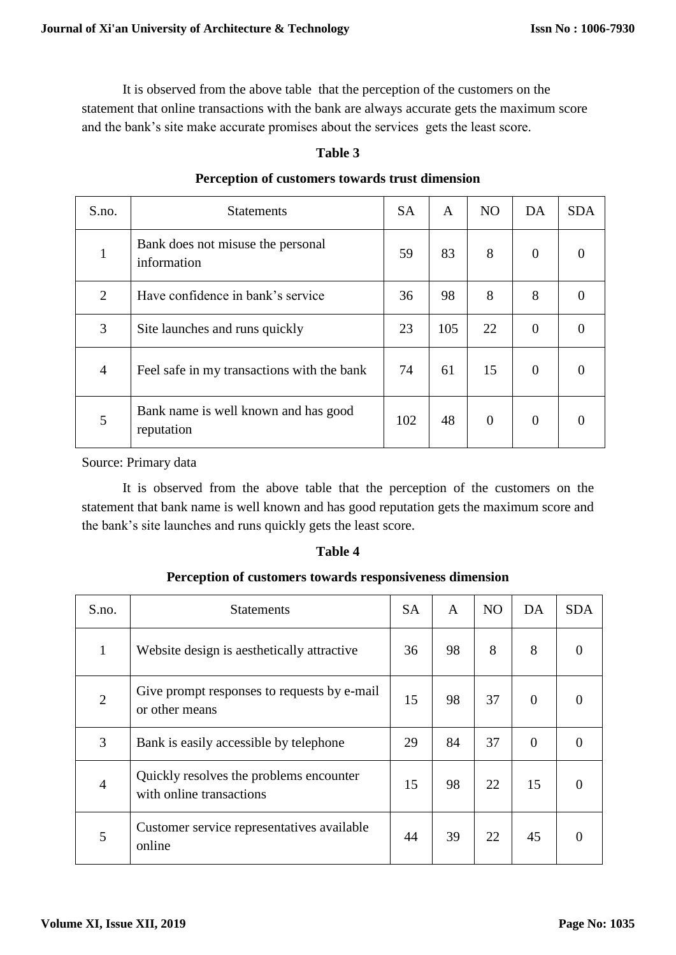It is observed from the above table that the perception of the customers on the statement that online transactions with the bank are always accurate gets the maximum score and the bank's site make accurate promises about the services gets the least score.

### **Table 3**

| S.no.          | <b>Statements</b>                                  | <b>SA</b> | A   | <b>NO</b>      | DA       | <b>SDA</b> |
|----------------|----------------------------------------------------|-----------|-----|----------------|----------|------------|
| 1              | Bank does not misuse the personal<br>information   | 59        | 83  | 8              | $\theta$ | $\theta$   |
| $\overline{2}$ | Have confidence in bank's service                  | 36        | 98  | 8              | 8        | $\theta$   |
| 3              | Site launches and runs quickly                     | 23        | 105 | 22             | $\theta$ | $\theta$   |
| $\overline{4}$ | Feel safe in my transactions with the bank         | 74        | 61  | 15             | $\theta$ |            |
| 5              | Bank name is well known and has good<br>reputation | 102       | 48  | $\overline{0}$ | $\Omega$ |            |

#### **Perception of customers towards trust dimension**

Source: Primary data

It is observed from the above table that the perception of the customers on the statement that bank name is well known and has good reputation gets the maximum score and the bank's site launches and runs quickly gets the least score.

### **Table 4**

### **Perception of customers towards responsiveness dimension**

| S.no. | <b>Statements</b>                                                   | <b>SA</b> | A  | N <sub>O</sub> | DA       | <b>SDA</b> |
|-------|---------------------------------------------------------------------|-----------|----|----------------|----------|------------|
| 1     | Website design is aesthetically attractive                          | 36        | 98 | 8              | 8        |            |
| 2     | Give prompt responses to requests by e-mail<br>or other means       | 15        | 98 | 37             | $\theta$ |            |
| 3     | Bank is easily accessible by telephone                              | 29        | 84 | 37             | $\Omega$ |            |
| 4     | Quickly resolves the problems encounter<br>with online transactions | 15        | 98 | 22             | 15       |            |
| 5     | Customer service representatives available<br>online                | 44        | 39 | 22             | 45       |            |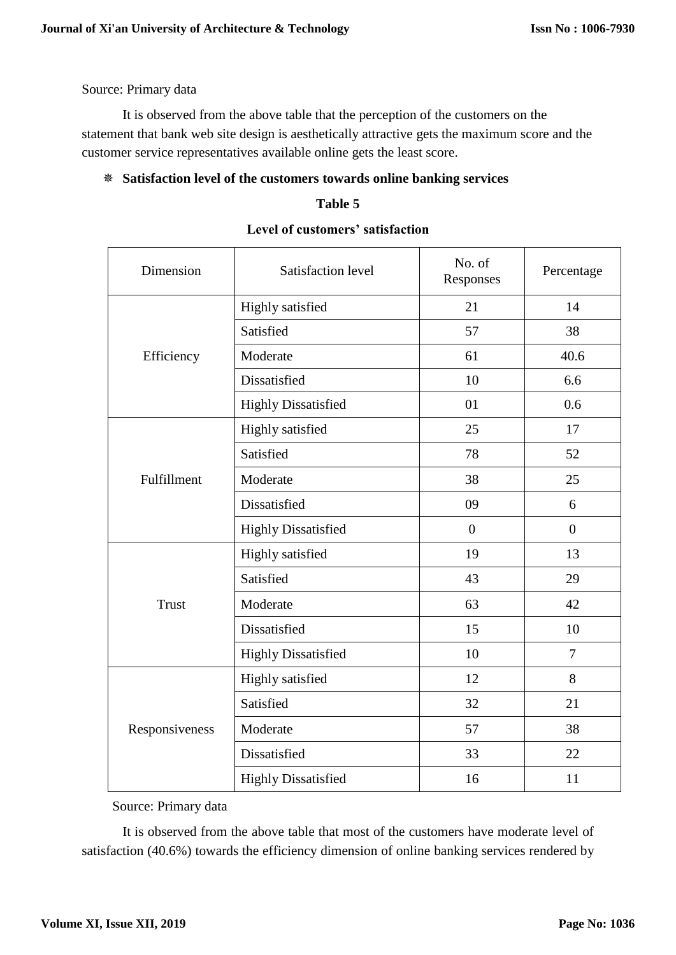Source: Primary data

It is observed from the above table that the perception of the customers on the statement that bank web site design is aesthetically attractive gets the maximum score and the customer service representatives available online gets the least score.

### **Satisfaction level of the customers towards online banking services**

### **Table 5**

| Dimension      | Satisfaction level         | No. of<br>Responses | Percentage     |
|----------------|----------------------------|---------------------|----------------|
|                | Highly satisfied           | 21                  | 14             |
|                | Satisfied                  | 57                  | 38             |
| Efficiency     | Moderate                   | 61                  | 40.6           |
|                | Dissatisfied               | 10                  | 6.6            |
|                | <b>Highly Dissatisfied</b> | 01                  | 0.6            |
|                | Highly satisfied           | 25                  | 17             |
|                | Satisfied                  | 78                  | 52             |
| Fulfillment    | Moderate                   | 38                  | 25             |
|                | Dissatisfied               | 09                  | 6              |
|                | <b>Highly Dissatisfied</b> | $\overline{0}$      | $\overline{0}$ |
|                | Highly satisfied           | 19                  | 13             |
|                | Satisfied                  | 43                  | 29             |
| <b>Trust</b>   | Moderate                   | 63                  | 42             |
|                | Dissatisfied               | 15                  | 10             |
|                | <b>Highly Dissatisfied</b> | 10                  | $\overline{7}$ |
|                | Highly satisfied           | 12                  | 8              |
|                | Satisfied                  | 32                  | 21             |
| Responsiveness | Moderate                   | 57                  | 38             |
|                | Dissatisfied               | 33                  | 22             |
|                | <b>Highly Dissatisfied</b> | 16                  | 11             |

| Level of customers' satisfaction |  |
|----------------------------------|--|
|----------------------------------|--|

Source: Primary data

It is observed from the above table that most of the customers have moderate level of satisfaction (40.6%) towards the efficiency dimension of online banking services rendered by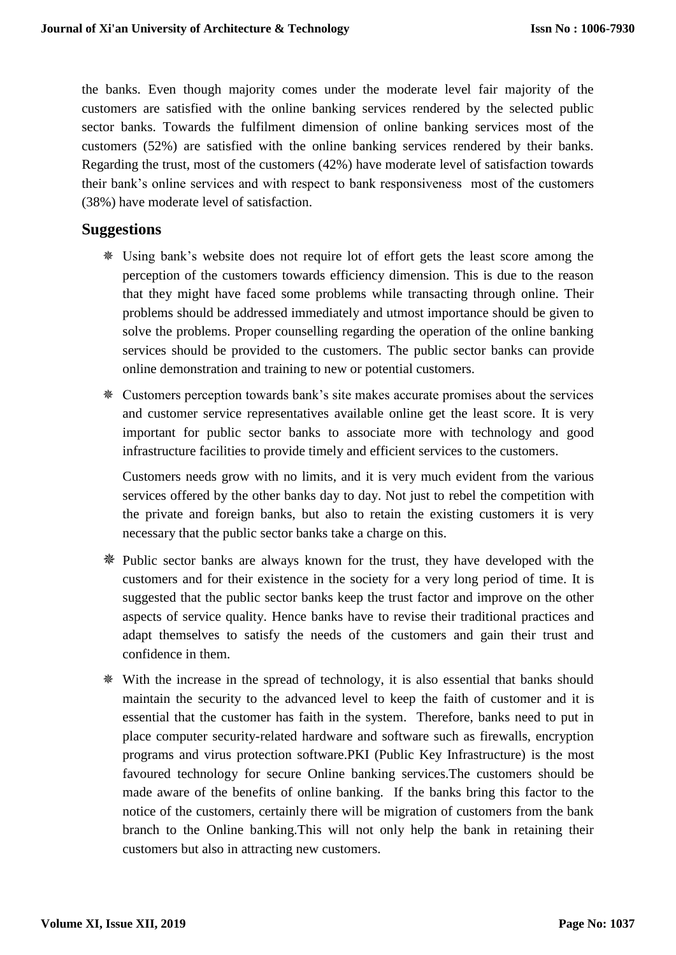the banks. Even though majority comes under the moderate level fair majority of the customers are satisfied with the online banking services rendered by the selected public sector banks. Towards the fulfilment dimension of online banking services most of the customers (52%) are satisfied with the online banking services rendered by their banks. Regarding the trust, most of the customers (42%) have moderate level of satisfaction towards their bank's online services and with respect to bank responsiveness most of the customers (38%) have moderate level of satisfaction.

## **Suggestions**

- Using bank's website does not require lot of effort gets the least score among the perception of the customers towards efficiency dimension. This is due to the reason that they might have faced some problems while transacting through online. Their problems should be addressed immediately and utmost importance should be given to solve the problems. Proper counselling regarding the operation of the online banking services should be provided to the customers. The public sector banks can provide online demonstration and training to new or potential customers.
- Customers perception towards bank's site makes accurate promises about the services and customer service representatives available online get the least score. It is very important for public sector banks to associate more with technology and good infrastructure facilities to provide timely and efficient services to the customers.

Customers needs grow with no limits, and it is very much evident from the various services offered by the other banks day to day. Not just to rebel the competition with the private and foreign banks, but also to retain the existing customers it is very necessary that the public sector banks take a charge on this.

- Public sector banks are always known for the trust, they have developed with the customers and for their existence in the society for a very long period of time. It is suggested that the public sector banks keep the trust factor and improve on the other aspects of service quality. Hence banks have to revise their traditional practices and adapt themselves to satisfy the needs of the customers and gain their trust and confidence in them.
- With the increase in the spread of technology, it is also essential that banks should maintain the security to the advanced level to keep the faith of customer and it is essential that the customer has faith in the system. Therefore, banks need to put in place computer security-related hardware and software such as firewalls, encryption programs and virus protection software.PKI (Public Key Infrastructure) is the most favoured technology for secure Online banking services.The customers should be made aware of the benefits of online banking. If the banks bring this factor to the notice of the customers, certainly there will be migration of customers from the bank branch to the Online banking.This will not only help the bank in retaining their customers but also in attracting new customers.